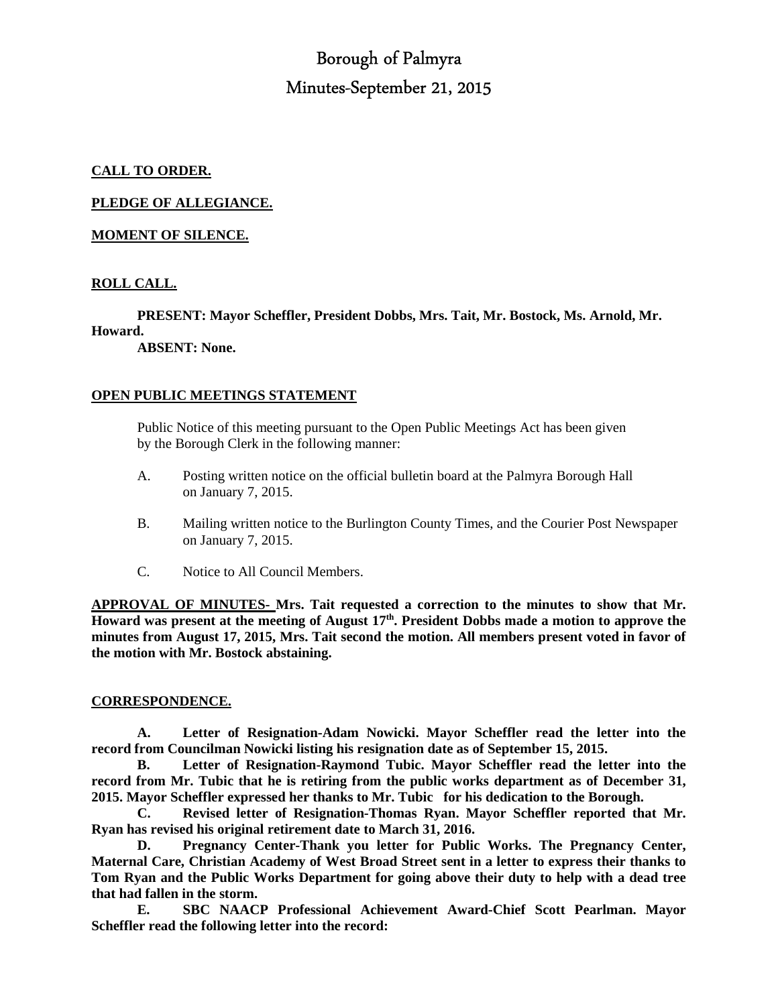# Borough of Palmyra Minutes-September 21, 2015

# **CALL TO ORDER.**

**PLEDGE OF ALLEGIANCE.** 

# **MOMENT OF SILENCE.**

# **ROLL CALL.**

 **PRESENT: Mayor Scheffler, President Dobbs, Mrs. Tait, Mr. Bostock, Ms. Arnold, Mr. Howard.** 

 **ABSENT: None.** 

# **OPEN PUBLIC MEETINGS STATEMENT**

 Public Notice of this meeting pursuant to the Open Public Meetings Act has been given by the Borough Clerk in the following manner:

- A. Posting written notice on the official bulletin board at the Palmyra Borough Hall on January 7, 2015.
- B. Mailing written notice to the Burlington County Times, and the Courier Post Newspaper on January 7, 2015.
- C. Notice to All Council Members.

**APPROVAL OF MINUTES- Mrs. Tait requested a correction to the minutes to show that Mr. Howard was present at the meeting of August 17th. President Dobbs made a motion to approve the minutes from August 17, 2015, Mrs. Tait second the motion. All members present voted in favor of the motion with Mr. Bostock abstaining.** 

#### **CORRESPONDENCE.**

 **A. Letter of Resignation-Adam Nowicki. Mayor Scheffler read the letter into the record from Councilman Nowicki listing his resignation date as of September 15, 2015.** 

 **B. Letter of Resignation-Raymond Tubic. Mayor Scheffler read the letter into the record from Mr. Tubic that he is retiring from the public works department as of December 31, 2015. Mayor Scheffler expressed her thanks to Mr. Tubic for his dedication to the Borough.** 

 **C. Revised letter of Resignation-Thomas Ryan. Mayor Scheffler reported that Mr. Ryan has revised his original retirement date to March 31, 2016.** 

 **D. Pregnancy Center-Thank you letter for Public Works. The Pregnancy Center, Maternal Care, Christian Academy of West Broad Street sent in a letter to express their thanks to Tom Ryan and the Public Works Department for going above their duty to help with a dead tree that had fallen in the storm.** 

 **E. SBC NAACP Professional Achievement Award-Chief Scott Pearlman. Mayor Scheffler read the following letter into the record:**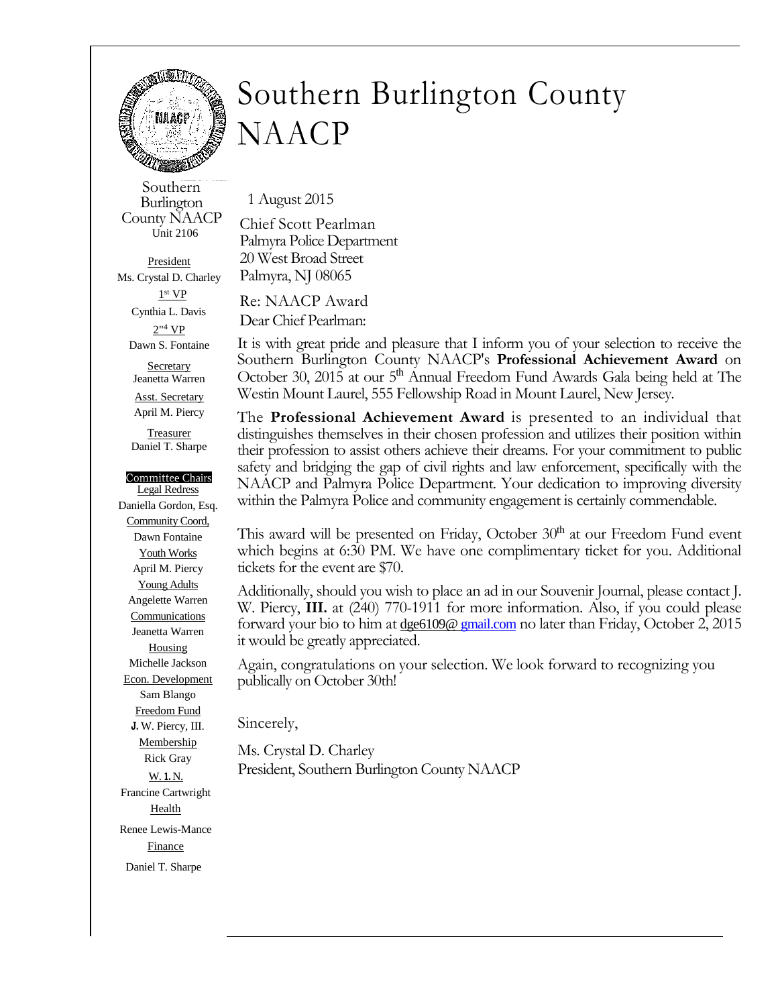

# Southern Burlington County NAACP

Southern Burlington County NAACP Unit 2106

President Ms. Crystal D. Charley 1 st VP Cynthia L. Davis 2"<sup>4</sup> VP Dawn S. Fontaine

> **Secretary** Jeanetta Warren Asst. Secretary April M. Piercy

**Treasurer** Daniel T. Sharpe

#### Committee Chairs

Legal Redress Daniella Gordon, Esq. Community Coord, Dawn Fontaine Youth Works April M. Piercy Young Adults Angelette Warren **Communications** Jeanetta Warren Housing Michelle Jackson Econ. Development Sam Blango Freedom Fund **J.** W. Piercy, III. Membership Rick Gray W. **1.** N. Francine Cartwright Health Renee Lewis-Mance **Finance** Daniel T. Sharpe

1 August 2015

Chief Scott Pearlman Palmyra Police Department 20 West Broad Street Palmyra, NJ 08065

Re: NAACP Award

Dear Chief Pearlman:

It is with great pride and pleasure that I inform you of your selection to receive the Southern Burlington County NAACP's **Professional Achievement Award** on October 30, 2015 at our 5<sup>th</sup> Annual Freedom Fund Awards Gala being held at The Westin Mount Laurel, 555 Fellowship Road in Mount Laurel, New Jersey.

The **Professional Achievement Award** is presented to an individual that distinguishes themselves in their chosen profession and utilizes their position within their profession to assist others achieve their dreams. For your commitment to public safety and bridging the gap of civil rights and law enforcement, specifically with the NAACP and Palmyra Police Department. Your dedication to improving diversity within the Palmyra Police and community engagement is certainly commendable.

This award will be presented on Friday, October  $30<sup>th</sup>$  at our Freedom Fund event which begins at 6:30 PM. We have one complimentary ticket for you. Additional tickets for the event are \$70.

Additionally, should you wish to place an ad in our Souvenir Journal, please contact J. W. Piercy, **III.** at (240) 770-1911 for more information. Also, if you could please forward your bio to him at dge6109@ gmail.com no later than Friday, October 2, 2015 it would be greatly appreciated.

Again, congratulations on your selection. We look forward to recognizing you publically on October 30th!

Sincerely,

Ms. Crystal D. Charley President, Southern Burlington County NAACP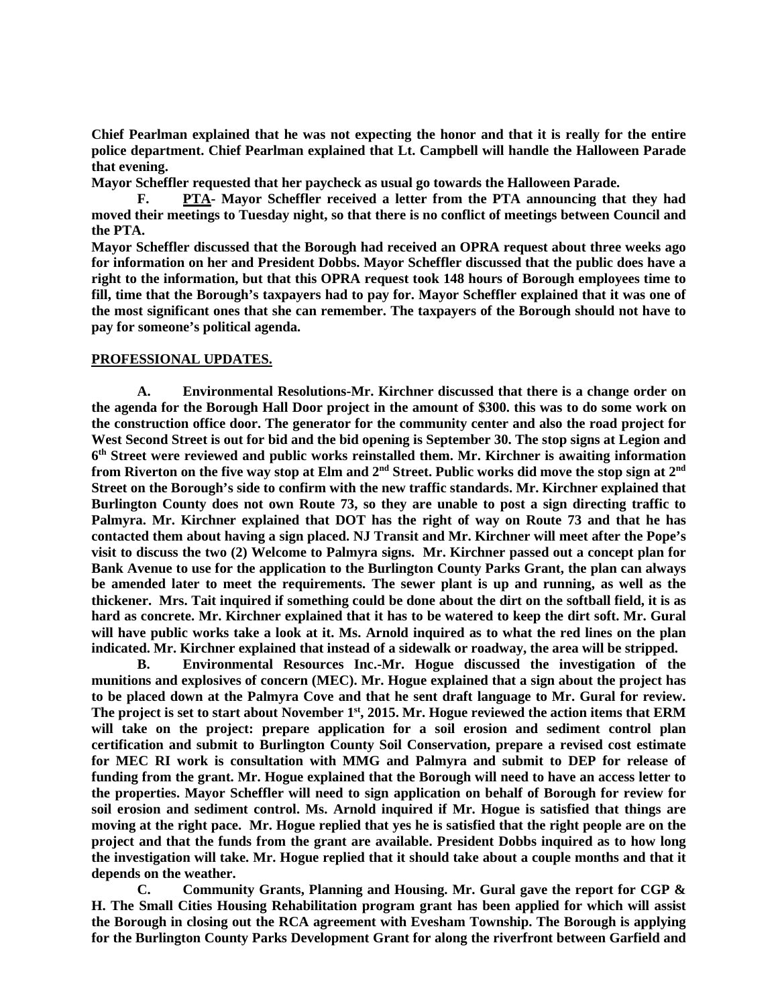**Chief Pearlman explained that he was not expecting the honor and that it is really for the entire police department. Chief Pearlman explained that Lt. Campbell will handle the Halloween Parade that evening.** 

**Mayor Scheffler requested that her paycheck as usual go towards the Halloween Parade.** 

 **F. PTA- Mayor Scheffler received a letter from the PTA announcing that they had moved their meetings to Tuesday night, so that there is no conflict of meetings between Council and the PTA.** 

**Mayor Scheffler discussed that the Borough had received an OPRA request about three weeks ago for information on her and President Dobbs. Mayor Scheffler discussed that the public does have a right to the information, but that this OPRA request took 148 hours of Borough employees time to fill, time that the Borough's taxpayers had to pay for. Mayor Scheffler explained that it was one of the most significant ones that she can remember. The taxpayers of the Borough should not have to pay for someone's political agenda.** 

#### **PROFESSIONAL UPDATES.**

 **A. Environmental Resolutions-Mr. Kirchner discussed that there is a change order on the agenda for the Borough Hall Door project in the amount of \$300. this was to do some work on the construction office door. The generator for the community center and also the road project for West Second Street is out for bid and the bid opening is September 30. The stop signs at Legion and 6 th Street were reviewed and public works reinstalled them. Mr. Kirchner is awaiting information from Riverton on the five way stop at Elm and 2nd Street. Public works did move the stop sign at 2nd Street on the Borough's side to confirm with the new traffic standards. Mr. Kirchner explained that Burlington County does not own Route 73, so they are unable to post a sign directing traffic to Palmyra. Mr. Kirchner explained that DOT has the right of way on Route 73 and that he has contacted them about having a sign placed. NJ Transit and Mr. Kirchner will meet after the Pope's visit to discuss the two (2) Welcome to Palmyra signs. Mr. Kirchner passed out a concept plan for Bank Avenue to use for the application to the Burlington County Parks Grant, the plan can always be amended later to meet the requirements. The sewer plant is up and running, as well as the thickener. Mrs. Tait inquired if something could be done about the dirt on the softball field, it is as hard as concrete. Mr. Kirchner explained that it has to be watered to keep the dirt soft. Mr. Gural will have public works take a look at it. Ms. Arnold inquired as to what the red lines on the plan indicated. Mr. Kirchner explained that instead of a sidewalk or roadway, the area will be stripped.** 

 **B. Environmental Resources Inc.-Mr. Hogue discussed the investigation of the munitions and explosives of concern (MEC). Mr. Hogue explained that a sign about the project has to be placed down at the Palmyra Cove and that he sent draft language to Mr. Gural for review. The project is set to start about November 1st, 2015. Mr. Hogue reviewed the action items that ERM will take on the project: prepare application for a soil erosion and sediment control plan certification and submit to Burlington County Soil Conservation, prepare a revised cost estimate for MEC RI work is consultation with MMG and Palmyra and submit to DEP for release of funding from the grant. Mr. Hogue explained that the Borough will need to have an access letter to the properties. Mayor Scheffler will need to sign application on behalf of Borough for review for soil erosion and sediment control. Ms. Arnold inquired if Mr. Hogue is satisfied that things are moving at the right pace. Mr. Hogue replied that yes he is satisfied that the right people are on the project and that the funds from the grant are available. President Dobbs inquired as to how long the investigation will take. Mr. Hogue replied that it should take about a couple months and that it depends on the weather.** 

 **C. Community Grants, Planning and Housing. Mr. Gural gave the report for CGP & H. The Small Cities Housing Rehabilitation program grant has been applied for which will assist the Borough in closing out the RCA agreement with Evesham Township. The Borough is applying for the Burlington County Parks Development Grant for along the riverfront between Garfield and**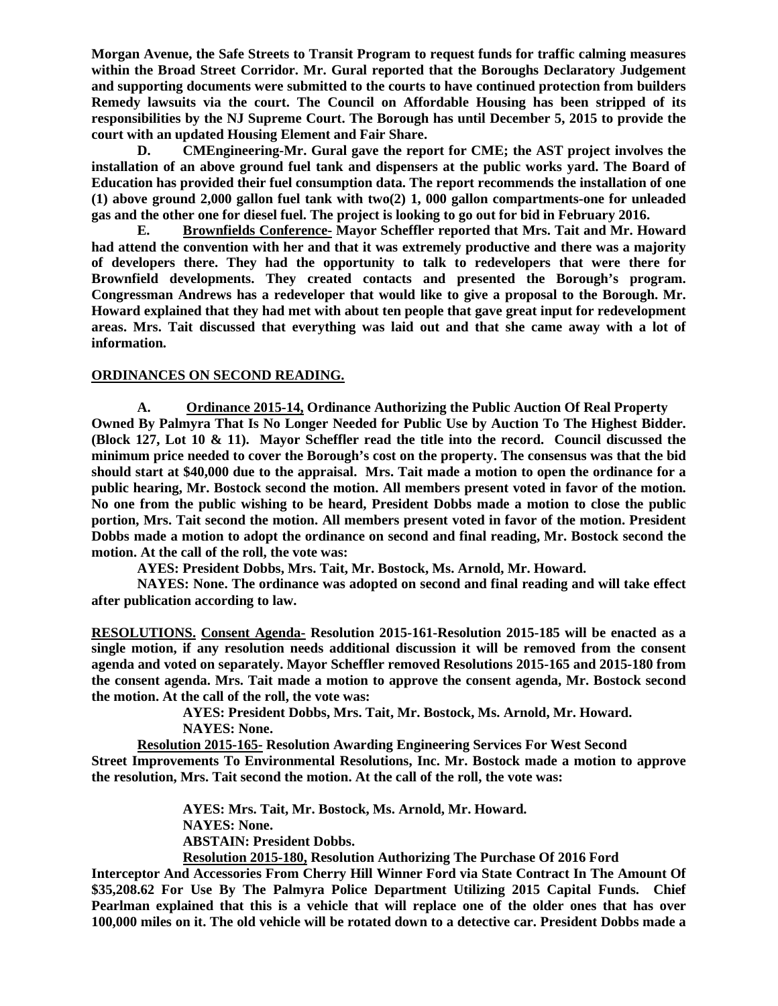**Morgan Avenue, the Safe Streets to Transit Program to request funds for traffic calming measures within the Broad Street Corridor. Mr. Gural reported that the Boroughs Declaratory Judgement and supporting documents were submitted to the courts to have continued protection from builders Remedy lawsuits via the court. The Council on Affordable Housing has been stripped of its responsibilities by the NJ Supreme Court. The Borough has until December 5, 2015 to provide the court with an updated Housing Element and Fair Share.** 

 **D. CMEngineering-Mr. Gural gave the report for CME; the AST project involves the installation of an above ground fuel tank and dispensers at the public works yard. The Board of Education has provided their fuel consumption data. The report recommends the installation of one (1) above ground 2,000 gallon fuel tank with two(2) 1, 000 gallon compartments-one for unleaded gas and the other one for diesel fuel. The project is looking to go out for bid in February 2016.** 

 **E. Brownfields Conference- Mayor Scheffler reported that Mrs. Tait and Mr. Howard had attend the convention with her and that it was extremely productive and there was a majority of developers there. They had the opportunity to talk to redevelopers that were there for Brownfield developments. They created contacts and presented the Borough's program. Congressman Andrews has a redeveloper that would like to give a proposal to the Borough. Mr. Howard explained that they had met with about ten people that gave great input for redevelopment areas. Mrs. Tait discussed that everything was laid out and that she came away with a lot of information.** 

# **ORDINANCES ON SECOND READING.**

**A. Ordinance 2015-14, Ordinance Authorizing the Public Auction Of Real Property Owned By Palmyra That Is No Longer Needed for Public Use by Auction To The Highest Bidder. (Block 127, Lot 10 & 11). Mayor Scheffler read the title into the record. Council discussed the minimum price needed to cover the Borough's cost on the property. The consensus was that the bid should start at \$40,000 due to the appraisal. Mrs. Tait made a motion to open the ordinance for a public hearing, Mr. Bostock second the motion. All members present voted in favor of the motion. No one from the public wishing to be heard, President Dobbs made a motion to close the public portion, Mrs. Tait second the motion. All members present voted in favor of the motion. President Dobbs made a motion to adopt the ordinance on second and final reading, Mr. Bostock second the motion. At the call of the roll, the vote was:** 

 **AYES: President Dobbs, Mrs. Tait, Mr. Bostock, Ms. Arnold, Mr. Howard.** 

 **NAYES: None. The ordinance was adopted on second and final reading and will take effect after publication according to law.** 

**RESOLUTIONS. Consent Agenda- Resolution 2015-161-Resolution 2015-185 will be enacted as a single motion, if any resolution needs additional discussion it will be removed from the consent agenda and voted on separately. Mayor Scheffler removed Resolutions 2015-165 and 2015-180 from the consent agenda. Mrs. Tait made a motion to approve the consent agenda, Mr. Bostock second the motion. At the call of the roll, the vote was:** 

> **AYES: President Dobbs, Mrs. Tait, Mr. Bostock, Ms. Arnold, Mr. Howard. NAYES: None.**

**Resolution 2015-165- Resolution Awarding Engineering Services For West Second Street Improvements To Environmental Resolutions, Inc. Mr. Bostock made a motion to approve the resolution, Mrs. Tait second the motion. At the call of the roll, the vote was:** 

> **AYES: Mrs. Tait, Mr. Bostock, Ms. Arnold, Mr. Howard. NAYES: None. ABSTAIN: President Dobbs. Resolution 2015-180, Resolution Authorizing The Purchase Of 2016 Ford**

**Interceptor And Accessories From Cherry Hill Winner Ford via State Contract In The Amount Of \$35,208.62 For Use By The Palmyra Police Department Utilizing 2015 Capital Funds. Chief Pearlman explained that this is a vehicle that will replace one of the older ones that has over 100,000 miles on it. The old vehicle will be rotated down to a detective car. President Dobbs made a**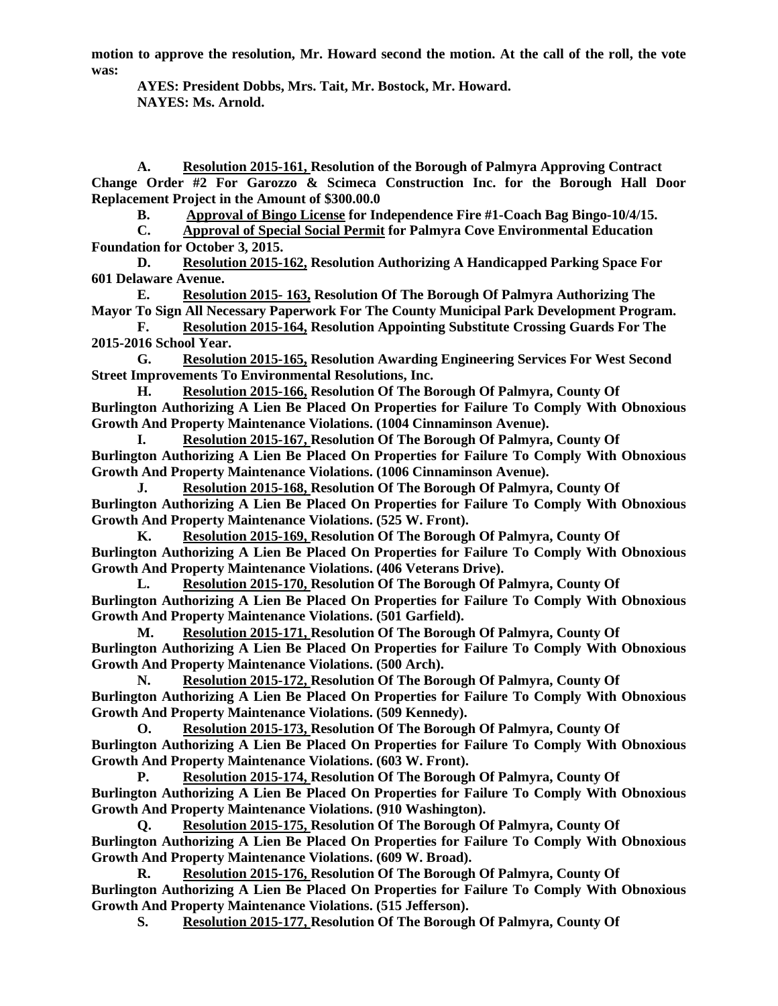**motion to approve the resolution, Mr. Howard second the motion. At the call of the roll, the vote was:** 

 **AYES: President Dobbs, Mrs. Tait, Mr. Bostock, Mr. Howard. NAYES: Ms. Arnold.** 

**A. Resolution 2015-161, Resolution of the Borough of Palmyra Approving Contract Change Order #2 For Garozzo & Scimeca Construction Inc. for the Borough Hall Door Replacement Project in the Amount of \$300.00.0** 

**B. Approval of Bingo License for Independence Fire #1-Coach Bag Bingo-10/4/15.** 

**C. Approval of Special Social Permit for Palmyra Cove Environmental Education Foundation for October 3, 2015.** 

**D. Resolution 2015-162, Resolution Authorizing A Handicapped Parking Space For 601 Delaware Avenue.** 

**E. Resolution 2015- 163, Resolution Of The Borough Of Palmyra Authorizing The Mayor To Sign All Necessary Paperwork For The County Municipal Park Development Program.** 

**F. Resolution 2015-164, Resolution Appointing Substitute Crossing Guards For The 2015-2016 School Year.** 

**G. Resolution 2015-165, Resolution Awarding Engineering Services For West Second Street Improvements To Environmental Resolutions, Inc.** 

**H. Resolution 2015-166, Resolution Of The Borough Of Palmyra, County Of Burlington Authorizing A Lien Be Placed On Properties for Failure To Comply With Obnoxious Growth And Property Maintenance Violations. (1004 Cinnaminson Avenue).** 

**I. Resolution 2015-167, Resolution Of The Borough Of Palmyra, County Of Burlington Authorizing A Lien Be Placed On Properties for Failure To Comply With Obnoxious Growth And Property Maintenance Violations. (1006 Cinnaminson Avenue).** 

**J. Resolution 2015-168, Resolution Of The Borough Of Palmyra, County Of Burlington Authorizing A Lien Be Placed On Properties for Failure To Comply With Obnoxious Growth And Property Maintenance Violations. (525 W. Front).** 

**K. Resolution 2015-169, Resolution Of The Borough Of Palmyra, County Of Burlington Authorizing A Lien Be Placed On Properties for Failure To Comply With Obnoxious Growth And Property Maintenance Violations. (406 Veterans Drive).** 

**L. Resolution 2015-170, Resolution Of The Borough Of Palmyra, County Of Burlington Authorizing A Lien Be Placed On Properties for Failure To Comply With Obnoxious Growth And Property Maintenance Violations. (501 Garfield).** 

**M. Resolution 2015-171, Resolution Of The Borough Of Palmyra, County Of Burlington Authorizing A Lien Be Placed On Properties for Failure To Comply With Obnoxious Growth And Property Maintenance Violations. (500 Arch).** 

**N. Resolution 2015-172, Resolution Of The Borough Of Palmyra, County Of Burlington Authorizing A Lien Be Placed On Properties for Failure To Comply With Obnoxious Growth And Property Maintenance Violations. (509 Kennedy).** 

**O. Resolution 2015-173, Resolution Of The Borough Of Palmyra, County Of Burlington Authorizing A Lien Be Placed On Properties for Failure To Comply With Obnoxious Growth And Property Maintenance Violations. (603 W. Front).** 

**P. Resolution 2015-174, Resolution Of The Borough Of Palmyra, County Of Burlington Authorizing A Lien Be Placed On Properties for Failure To Comply With Obnoxious Growth And Property Maintenance Violations. (910 Washington).** 

**Q. Resolution 2015-175, Resolution Of The Borough Of Palmyra, County Of Burlington Authorizing A Lien Be Placed On Properties for Failure To Comply With Obnoxious Growth And Property Maintenance Violations. (609 W. Broad).** 

**R. Resolution 2015-176, Resolution Of The Borough Of Palmyra, County Of Burlington Authorizing A Lien Be Placed On Properties for Failure To Comply With Obnoxious Growth And Property Maintenance Violations. (515 Jefferson).** 

**S. Resolution 2015-177, Resolution Of The Borough Of Palmyra, County Of**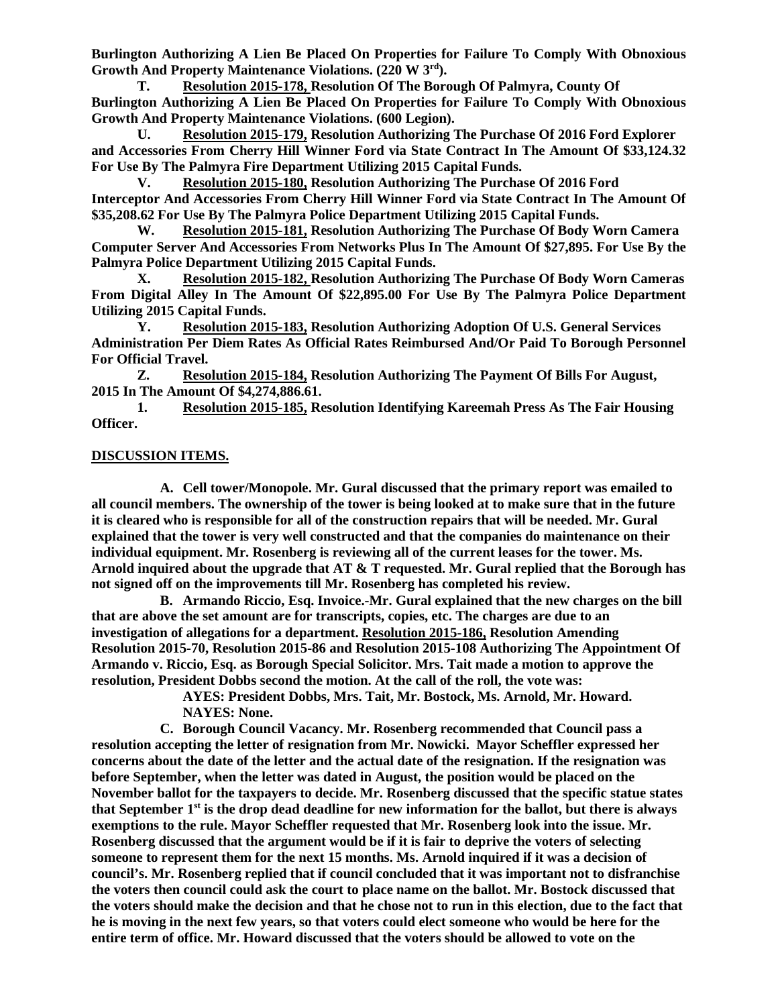**Burlington Authorizing A Lien Be Placed On Properties for Failure To Comply With Obnoxious Growth And Property Maintenance Violations. (220 W 3 rd).** 

**T. Resolution 2015-178, Resolution Of The Borough Of Palmyra, County Of Burlington Authorizing A Lien Be Placed On Properties for Failure To Comply With Obnoxious Growth And Property Maintenance Violations. (600 Legion).** 

**U. Resolution 2015-179, Resolution Authorizing The Purchase Of 2016 Ford Explorer and Accessories From Cherry Hill Winner Ford via State Contract In The Amount Of \$33,124.32 For Use By The Palmyra Fire Department Utilizing 2015 Capital Funds.** 

**V. Resolution 2015-180, Resolution Authorizing The Purchase Of 2016 Ford Interceptor And Accessories From Cherry Hill Winner Ford via State Contract In The Amount Of \$35,208.62 For Use By The Palmyra Police Department Utilizing 2015 Capital Funds.** 

**W. Resolution 2015-181, Resolution Authorizing The Purchase Of Body Worn Camera Computer Server And Accessories From Networks Plus In The Amount Of \$27,895. For Use By the Palmyra Police Department Utilizing 2015 Capital Funds.** 

**X. Resolution 2015-182, Resolution Authorizing The Purchase Of Body Worn Cameras From Digital Alley In The Amount Of \$22,895.00 For Use By The Palmyra Police Department Utilizing 2015 Capital Funds.** 

**Y. Resolution 2015-183, Resolution Authorizing Adoption Of U.S. General Services Administration Per Diem Rates As Official Rates Reimbursed And/Or Paid To Borough Personnel For Official Travel.** 

**Z. Resolution 2015-184, Resolution Authorizing The Payment Of Bills For August, 2015 In The Amount Of \$4,274,886.61.** 

**1. Resolution 2015-185, Resolution Identifying Kareemah Press As The Fair Housing Officer.** 

# **DISCUSSION ITEMS.**

**A. Cell tower/Monopole. Mr. Gural discussed that the primary report was emailed to all council members. The ownership of the tower is being looked at to make sure that in the future it is cleared who is responsible for all of the construction repairs that will be needed. Mr. Gural explained that the tower is very well constructed and that the companies do maintenance on their individual equipment. Mr. Rosenberg is reviewing all of the current leases for the tower. Ms. Arnold inquired about the upgrade that AT & T requested. Mr. Gural replied that the Borough has not signed off on the improvements till Mr. Rosenberg has completed his review.** 

**B. Armando Riccio, Esq. Invoice.-Mr. Gural explained that the new charges on the bill that are above the set amount are for transcripts, copies, etc. The charges are due to an investigation of allegations for a department. Resolution 2015-186, Resolution Amending Resolution 2015-70, Resolution 2015-86 and Resolution 2015-108 Authorizing The Appointment Of Armando v. Riccio, Esq. as Borough Special Solicitor. Mrs. Tait made a motion to approve the resolution, President Dobbs second the motion. At the call of the roll, the vote was:** 

 **AYES: President Dobbs, Mrs. Tait, Mr. Bostock, Ms. Arnold, Mr. Howard. NAYES: None.** 

**C. Borough Council Vacancy. Mr. Rosenberg recommended that Council pass a resolution accepting the letter of resignation from Mr. Nowicki. Mayor Scheffler expressed her concerns about the date of the letter and the actual date of the resignation. If the resignation was before September, when the letter was dated in August, the position would be placed on the November ballot for the taxpayers to decide. Mr. Rosenberg discussed that the specific statue states that September 1st is the drop dead deadline for new information for the ballot, but there is always exemptions to the rule. Mayor Scheffler requested that Mr. Rosenberg look into the issue. Mr. Rosenberg discussed that the argument would be if it is fair to deprive the voters of selecting someone to represent them for the next 15 months. Ms. Arnold inquired if it was a decision of council's. Mr. Rosenberg replied that if council concluded that it was important not to disfranchise the voters then council could ask the court to place name on the ballot. Mr. Bostock discussed that the voters should make the decision and that he chose not to run in this election, due to the fact that he is moving in the next few years, so that voters could elect someone who would be here for the entire term of office. Mr. Howard discussed that the voters should be allowed to vote on the**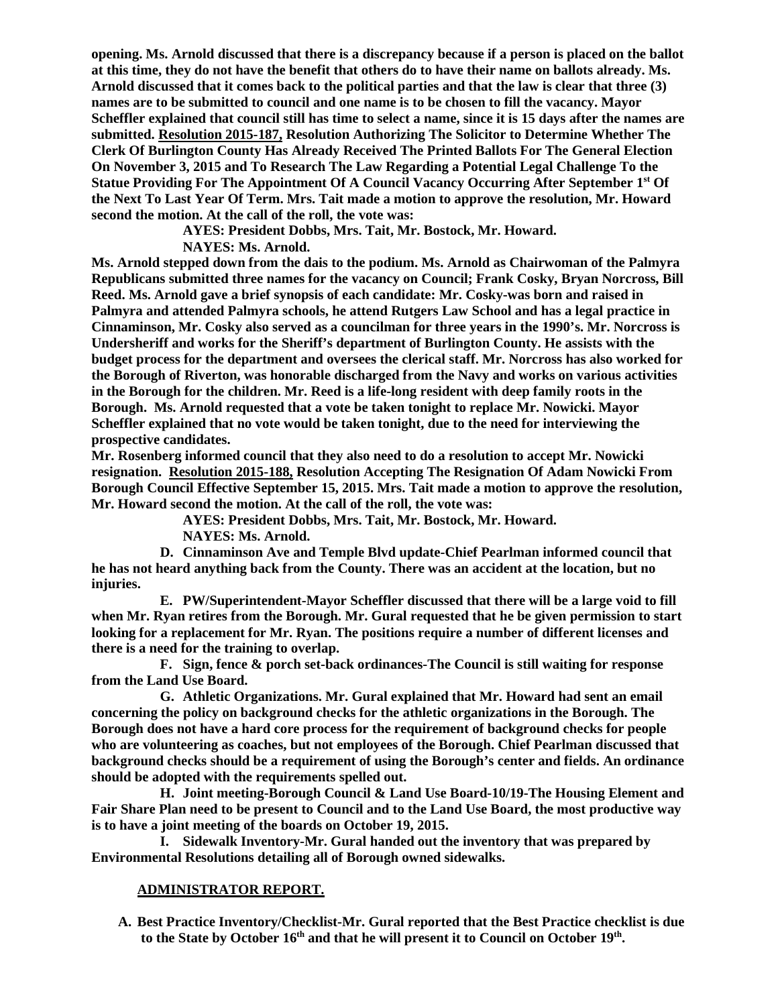**opening. Ms. Arnold discussed that there is a discrepancy because if a person is placed on the ballot at this time, they do not have the benefit that others do to have their name on ballots already. Ms. Arnold discussed that it comes back to the political parties and that the law is clear that three (3) names are to be submitted to council and one name is to be chosen to fill the vacancy. Mayor Scheffler explained that council still has time to select a name, since it is 15 days after the names are submitted. Resolution 2015-187, Resolution Authorizing The Solicitor to Determine Whether The Clerk Of Burlington County Has Already Received The Printed Ballots For The General Election On November 3, 2015 and To Research The Law Regarding a Potential Legal Challenge To the Statue Providing For The Appointment Of A Council Vacancy Occurring After September 1st Of the Next To Last Year Of Term. Mrs. Tait made a motion to approve the resolution, Mr. Howard second the motion. At the call of the roll, the vote was:** 

 **AYES: President Dobbs, Mrs. Tait, Mr. Bostock, Mr. Howard.** 

# **NAYES: Ms. Arnold.**

**Ms. Arnold stepped down from the dais to the podium. Ms. Arnold as Chairwoman of the Palmyra Republicans submitted three names for the vacancy on Council; Frank Cosky, Bryan Norcross, Bill Reed. Ms. Arnold gave a brief synopsis of each candidate: Mr. Cosky-was born and raised in Palmyra and attended Palmyra schools, he attend Rutgers Law School and has a legal practice in Cinnaminson, Mr. Cosky also served as a councilman for three years in the 1990's. Mr. Norcross is Undersheriff and works for the Sheriff's department of Burlington County. He assists with the budget process for the department and oversees the clerical staff. Mr. Norcross has also worked for the Borough of Riverton, was honorable discharged from the Navy and works on various activities in the Borough for the children. Mr. Reed is a life-long resident with deep family roots in the Borough. Ms. Arnold requested that a vote be taken tonight to replace Mr. Nowicki. Mayor Scheffler explained that no vote would be taken tonight, due to the need for interviewing the prospective candidates.** 

**Mr. Rosenberg informed council that they also need to do a resolution to accept Mr. Nowicki resignation. Resolution 2015-188, Resolution Accepting The Resignation Of Adam Nowicki From Borough Council Effective September 15, 2015. Mrs. Tait made a motion to approve the resolution, Mr. Howard second the motion. At the call of the roll, the vote was:** 

 **AYES: President Dobbs, Mrs. Tait, Mr. Bostock, Mr. Howard.** 

 **NAYES: Ms. Arnold.** 

**D. Cinnaminson Ave and Temple Blvd update-Chief Pearlman informed council that he has not heard anything back from the County. There was an accident at the location, but no injuries.** 

**E. PW/Superintendent-Mayor Scheffler discussed that there will be a large void to fill when Mr. Ryan retires from the Borough. Mr. Gural requested that he be given permission to start looking for a replacement for Mr. Ryan. The positions require a number of different licenses and there is a need for the training to overlap.** 

**F. Sign, fence & porch set-back ordinances-The Council is still waiting for response from the Land Use Board.** 

**G. Athletic Organizations. Mr. Gural explained that Mr. Howard had sent an email concerning the policy on background checks for the athletic organizations in the Borough. The Borough does not have a hard core process for the requirement of background checks for people who are volunteering as coaches, but not employees of the Borough. Chief Pearlman discussed that background checks should be a requirement of using the Borough's center and fields. An ordinance should be adopted with the requirements spelled out.** 

**H. Joint meeting-Borough Council & Land Use Board-10/19-The Housing Element and Fair Share Plan need to be present to Council and to the Land Use Board, the most productive way is to have a joint meeting of the boards on October 19, 2015.** 

**I. Sidewalk Inventory-Mr. Gural handed out the inventory that was prepared by Environmental Resolutions detailing all of Borough owned sidewalks.** 

# **ADMINISTRATOR REPORT.**

**A. Best Practice Inventory/Checklist-Mr. Gural reported that the Best Practice checklist is due to the State by October 16th and that he will present it to Council on October 19th .**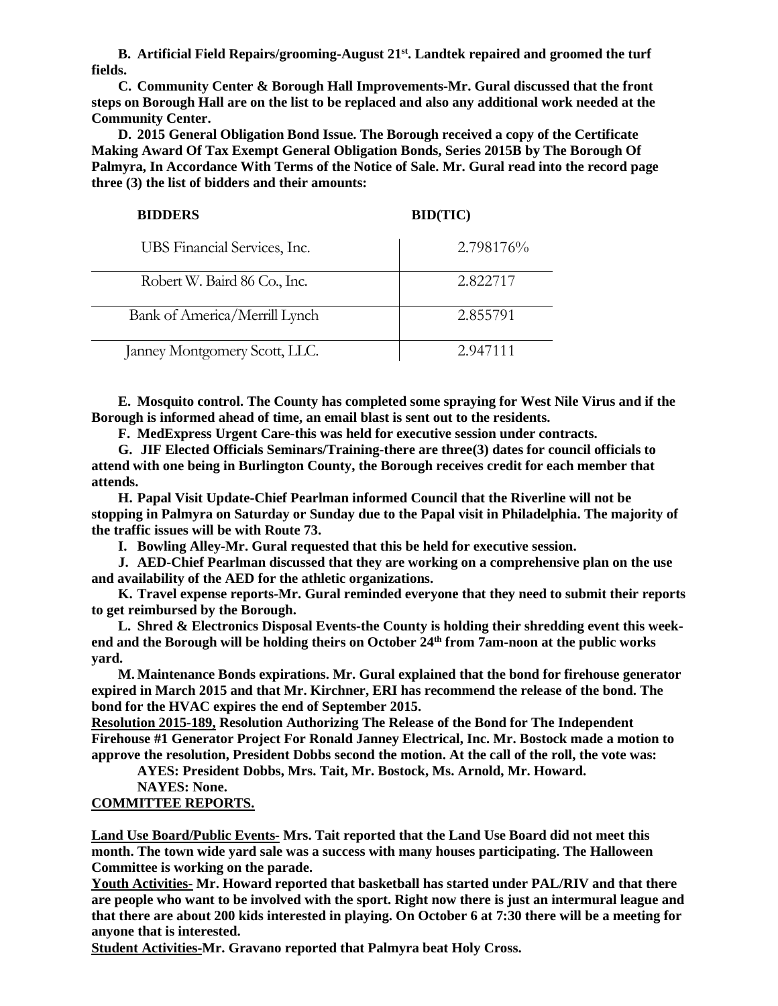**B. Artificial Field Repairs/grooming-August 21st. Landtek repaired and groomed the turf fields.** 

**C. Community Center & Borough Hall Improvements-Mr. Gural discussed that the front steps on Borough Hall are on the list to be replaced and also any additional work needed at the Community Center.** 

**D. 2015 General Obligation Bond Issue. The Borough received a copy of the Certificate Making Award Of Tax Exempt General Obligation Bonds, Series 2015B by The Borough Of Palmyra, In Accordance With Terms of the Notice of Sale. Mr. Gural read into the record page three (3) the list of bidders and their amounts:** 

#### **BIDDERS BID(TIC)**

| UBS Financial Services, Inc.  | 2.798176% |
|-------------------------------|-----------|
| Robert W. Baird 86 Co., Inc.  | 2.822717  |
| Bank of America/Merrill Lynch | 2.855791  |
| Janney Montgomery Scott, LLC. | 2.947111  |

**E. Mosquito control. The County has completed some spraying for West Nile Virus and if the Borough is informed ahead of time, an email blast is sent out to the residents.** 

**F. MedExpress Urgent Care-this was held for executive session under contracts.** 

**G. JIF Elected Officials Seminars/Training-there are three(3) dates for council officials to attend with one being in Burlington County, the Borough receives credit for each member that attends.** 

**H. Papal Visit Update-Chief Pearlman informed Council that the Riverline will not be stopping in Palmyra on Saturday or Sunday due to the Papal visit in Philadelphia. The majority of the traffic issues will be with Route 73.** 

**I. Bowling Alley-Mr. Gural requested that this be held for executive session.** 

**J. AED-Chief Pearlman discussed that they are working on a comprehensive plan on the use and availability of the AED for the athletic organizations.** 

**K. Travel expense reports-Mr. Gural reminded everyone that they need to submit their reports to get reimbursed by the Borough.** 

**L. Shred & Electronics Disposal Events-the County is holding their shredding event this weekend and the Borough will be holding theirs on October 24th from 7am-noon at the public works yard.** 

**M. Maintenance Bonds expirations. Mr. Gural explained that the bond for firehouse generator expired in March 2015 and that Mr. Kirchner, ERI has recommend the release of the bond. The bond for the HVAC expires the end of September 2015.** 

**Resolution 2015-189, Resolution Authorizing The Release of the Bond for The Independent Firehouse #1 Generator Project For Ronald Janney Electrical, Inc. Mr. Bostock made a motion to approve the resolution, President Dobbs second the motion. At the call of the roll, the vote was:** 

 **AYES: President Dobbs, Mrs. Tait, Mr. Bostock, Ms. Arnold, Mr. Howard.** 

 **NAYES: None.** 

# **COMMITTEE REPORTS.**

**Land Use Board/Public Events- Mrs. Tait reported that the Land Use Board did not meet this month. The town wide yard sale was a success with many houses participating. The Halloween Committee is working on the parade.** 

**Youth Activities- Mr. Howard reported that basketball has started under PAL/RIV and that there are people who want to be involved with the sport. Right now there is just an intermural league and that there are about 200 kids interested in playing. On October 6 at 7:30 there will be a meeting for anyone that is interested.** 

**Student Activities-Mr. Gravano reported that Palmyra beat Holy Cross.**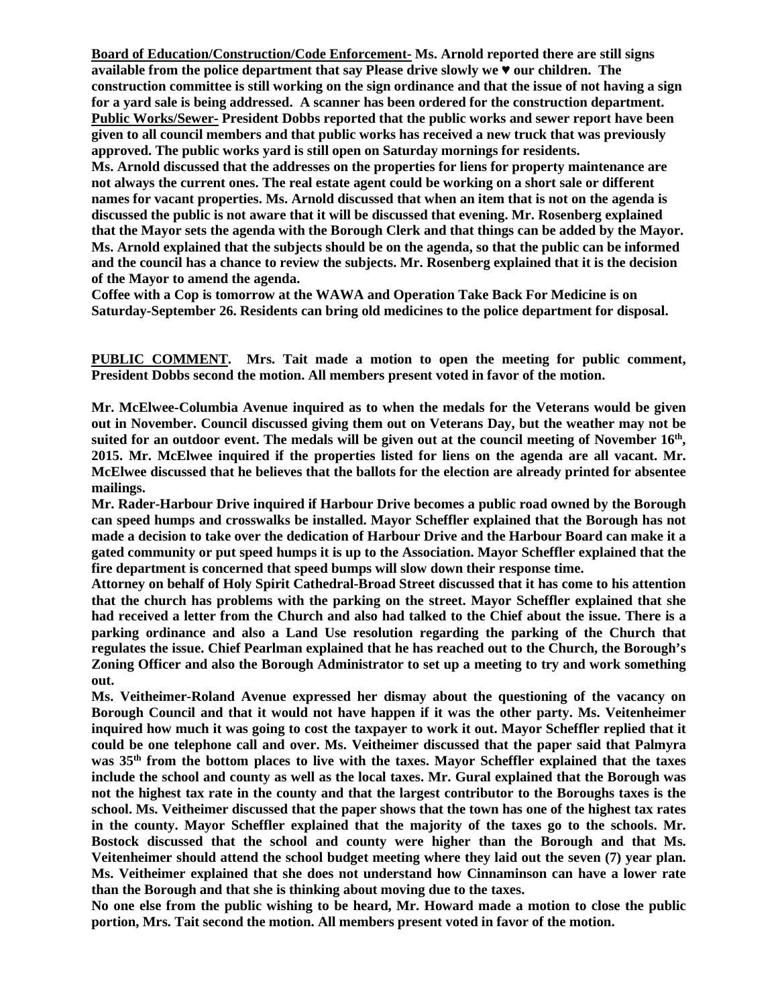**Board of Education/Construction/Code Enforcement- Ms. Arnold reported there are still signs available from the police department that say Please drive slowly we ♥ our children. The construction committee is still working on the sign ordinance and that the issue of not having a sign for a yard sale is being addressed. A scanner has been ordered for the construction department. Public Works/Sewer- President Dobbs reported that the public works and sewer report have been given to all council members and that public works has received a new truck that was previously approved. The public works yard is still open on Saturday mornings for residents. Ms. Arnold discussed that the addresses on the properties for liens for property maintenance are not always the current ones. The real estate agent could be working on a short sale or different names for vacant properties. Ms. Arnold discussed that when an item that is not on the agenda is discussed the public is not aware that it will be discussed that evening. Mr. Rosenberg explained that the Mayor sets the agenda with the Borough Clerk and that things can be added by the Mayor. Ms. Arnold explained that the subjects should be on the agenda, so that the public can be informed and the council has a chance to review the subjects. Mr. Rosenberg explained that it is the decision** 

**of the Mayor to amend the agenda.** 

**Coffee with a Cop is tomorrow at the WAWA and Operation Take Back For Medicine is on Saturday-September 26. Residents can bring old medicines to the police department for disposal.** 

**PUBLIC COMMENT. Mrs. Tait made a motion to open the meeting for public comment, President Dobbs second the motion. All members present voted in favor of the motion.** 

**Mr. McElwee-Columbia Avenue inquired as to when the medals for the Veterans would be given out in November. Council discussed giving them out on Veterans Day, but the weather may not be suited for an outdoor event. The medals will be given out at the council meeting of November 16th , 2015. Mr. McElwee inquired if the properties listed for liens on the agenda are all vacant. Mr. McElwee discussed that he believes that the ballots for the election are already printed for absentee mailings.** 

**Mr. Rader-Harbour Drive inquired if Harbour Drive becomes a public road owned by the Borough can speed humps and crosswalks be installed. Mayor Scheffler explained that the Borough has not made a decision to take over the dedication of Harbour Drive and the Harbour Board can make it a gated community or put speed humps it is up to the Association. Mayor Scheffler explained that the fire department is concerned that speed bumps will slow down their response time.** 

**Attorney on behalf of Holy Spirit Cathedral-Broad Street discussed that it has come to his attention that the church has problems with the parking on the street. Mayor Scheffler explained that she had received a letter from the Church and also had talked to the Chief about the issue. There is a parking ordinance and also a Land Use resolution regarding the parking of the Church that regulates the issue. Chief Pearlman explained that he has reached out to the Church, the Borough's Zoning Officer and also the Borough Administrator to set up a meeting to try and work something out.** 

**Ms. Veitheimer-Roland Avenue expressed her dismay about the questioning of the vacancy on Borough Council and that it would not have happen if it was the other party. Ms. Veitenheimer inquired how much it was going to cost the taxpayer to work it out. Mayor Scheffler replied that it could be one telephone call and over. Ms. Veitheimer discussed that the paper said that Palmyra was 35th from the bottom places to live with the taxes. Mayor Scheffler explained that the taxes include the school and county as well as the local taxes. Mr. Gural explained that the Borough was not the highest tax rate in the county and that the largest contributor to the Boroughs taxes is the school. Ms. Veitheimer discussed that the paper shows that the town has one of the highest tax rates in the county. Mayor Scheffler explained that the majority of the taxes go to the schools. Mr. Bostock discussed that the school and county were higher than the Borough and that Ms. Veitenheimer should attend the school budget meeting where they laid out the seven (7) year plan. Ms. Veitheimer explained that she does not understand how Cinnaminson can have a lower rate than the Borough and that she is thinking about moving due to the taxes.** 

**No one else from the public wishing to be heard, Mr. Howard made a motion to close the public portion, Mrs. Tait second the motion. All members present voted in favor of the motion.**